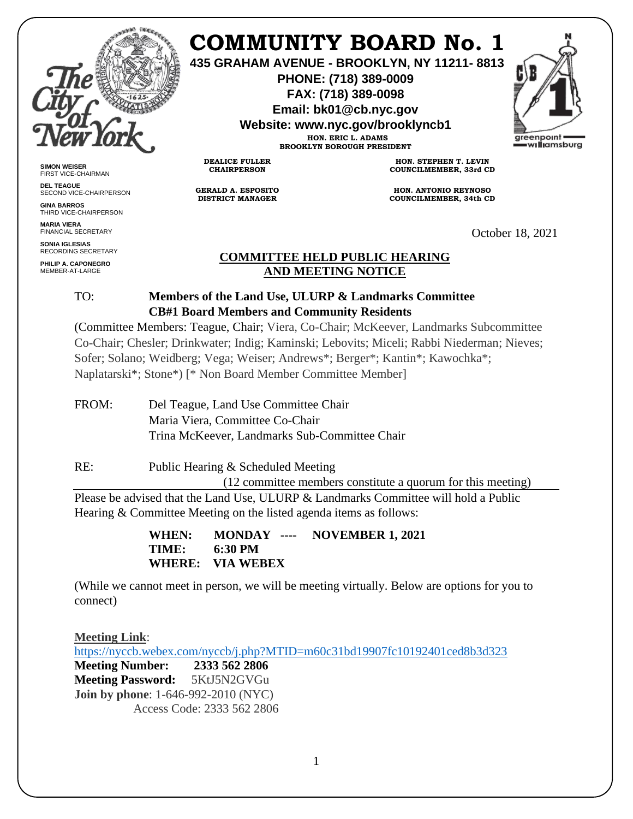

**SIMON WEISER** FIRST VICE-CHAIRMAN **DEL TEAGUE**

**GINA BARROS** THIRD VICE-CHAIRPERSON

**MARIA VIERA** FINANCIAL SECRETARY **SONIA IGLESIAS** RECORDING SECRETARY **PHILIP A. CAPONEGRO** MEMBER-AT-LARGE

SECOND VICE-CHAIRPERSON

# **COMMUNITY BOARD No. 1**

**435 GRAHAM AVENUE - BROOKLYN, NY 11211- 8813**

**PHONE: (718) 389-0009 FAX: (718) 389-0098**

**Email: bk01@cb.nyc.gov**

**Website: www.nyc.gov/brooklyncb1**

**HON. ERIC L. ADAMS BROOKLYN BOROUGH PRESIDENT**

**DEALICE FULLER CHAIRPERSON**

**GERALD A. ESPOSITO DISTRICT MANAGER**

**HON. STEPHEN T. LEVIN COUNCILMEMBER, 33rd CD**

**HON. ANTONIO REYNOSO COUNCILMEMBER, 34th CD**

October 18, 2021

### **COMMITTEE HELD PUBLIC HEARING AND MEETING NOTICE**

## TO: **Members of the Land Use, ULURP & Landmarks Committee CB#1 Board Members and Community Residents**

(Committee Members: Teague, Chair; Viera, Co-Chair; McKeever, Landmarks Subcommittee Co-Chair; Chesler; Drinkwater; Indig; Kaminski; Lebovits; Miceli; Rabbi Niederman; Nieves; Sofer; Solano; Weidberg; Vega; Weiser; Andrews\*; Berger\*; Kantin\*; Kawochka\*; Naplatarski\*; Stone\*) [\* Non Board Member Committee Member]

FROM: Del Teague, Land Use Committee Chair Maria Viera, Committee Co-Chair Trina McKeever, Landmarks Sub-Committee Chair

RE: Public Hearing & Scheduled Meeting (12 committee members constitute a quorum for this meeting) Please be advised that the Land Use, ULURP & Landmarks Committee will hold a Public Hearing & Committee Meeting on the listed agenda items as follows:

> **WHEN: MONDAY ---- NOVEMBER 1, 2021 TIME: 6:30 PM WHERE: VIA WEBEX**

(While we cannot meet in person, we will be meeting virtually. Below are options for you to connect)

**Meeting Link**: <https://nyccb.webex.com/nyccb/j.php?MTID=m60c31bd19907fc10192401ced8b3d323> **Meeting Number: 2333 562 2806 Meeting Password:** 5KtJ5N2GVGu **Join by phone**: 1-646-992-2010 (NYC) Access Code: 2333 562 2806